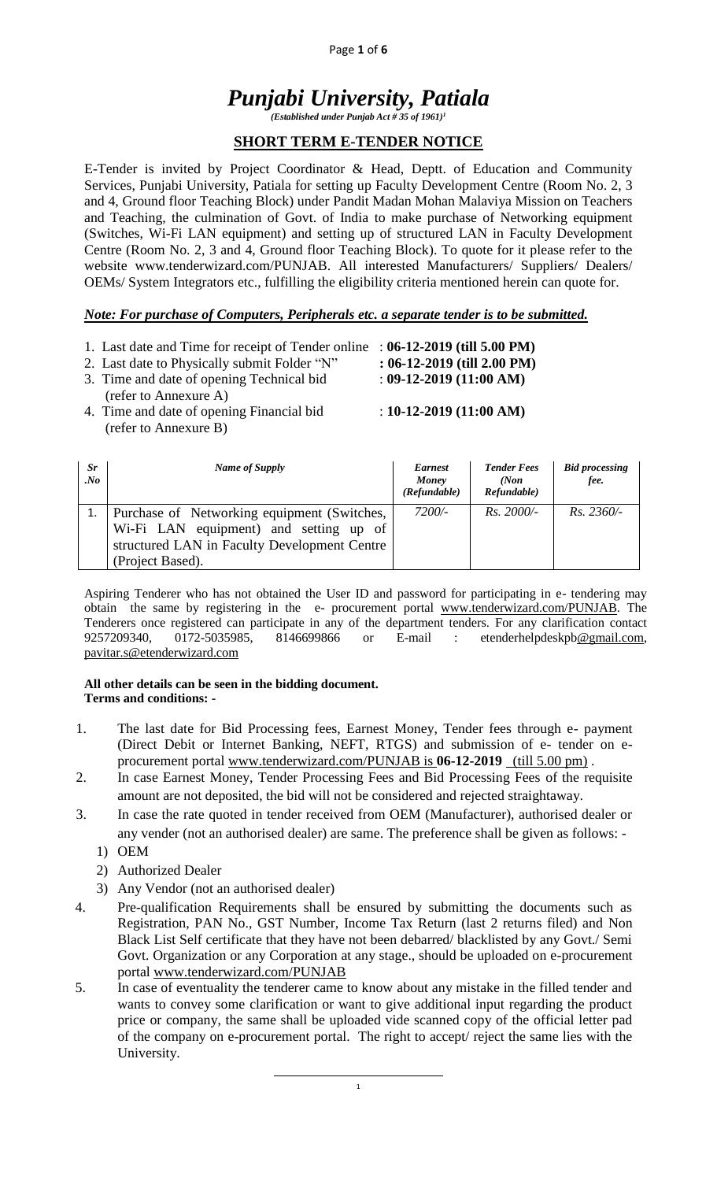#### Page **1** of **6**

# *Punjabi University, Patiala*

*(Established under Punjab Act # 35 of 1961)<sup>1</sup>*

#### **SHORT TERM E-TENDER NOTICE**

E-Tender is invited by Project Coordinator & Head, Deptt. of Education and Community Services, Punjabi University, Patiala for setting up Faculty Development Centre (Room No. 2, 3 and 4, Ground floor Teaching Block) under Pandit Madan Mohan Malaviya Mission on Teachers and Teaching, the culmination of Govt. of India to make purchase of Networking equipment (Switches, Wi-Fi LAN equipment) and setting up of structured LAN in Faculty Development Centre (Room No. 2, 3 and 4, Ground floor Teaching Block). To quote for it please refer to the website www.tenderwizard.com/PUNJAB. All interested Manufacturers/ Suppliers/ Dealers/ OEMs/ System Integrators etc., fulfilling the eligibility criteria mentioned herein can quote for.

#### *Note: For purchase of Computers, Peripherals etc. a separate tender is to be submitted.*

1. Last date and Time for receipt of Tender online : **06-12-2019 (till 5.00 PM)**

2. Last date to Physically submit Folder "N" **: 06-12-2019 (till 2.00 PM)**

3. Time and date of opening Technical bid : **09-12-2019 (11:00 AM)**

- (refer to Annexure A)
- 4. Time and date of opening Financial bid : **10-12-2019 (11:00 AM)** (refer to Annexure B)

| Sr<br>. No | Name of Supply                                                                                                                                            | <b>Earnest</b><br>Money<br>(Refundable) | <b>Tender Fees</b><br>(Non<br>Refundable) | <b>Bid processing</b><br>fee. |
|------------|-----------------------------------------------------------------------------------------------------------------------------------------------------------|-----------------------------------------|-------------------------------------------|-------------------------------|
|            | Purchase of Networking equipment (Switches,<br>Wi-Fi LAN equipment) and setting up of<br>structured LAN in Faculty Development Centre<br>(Project Based). | 7200/-                                  | $Rs.~2000/-$                              | $Rs. 2360/-$                  |

Aspiring Tenderer who has not obtained the User ID and password for participating in e- tendering may obtain the same by registering in the e- procurement portal [www.tenderwizard.com/PUNJAB.](http://www.tenderwizard.com/PUNJAB) The Tenderers once registered can participate in any of the department tenders. For any clarification contact 9257209340, 0172-5035985, 8146699866 or E-mail : etenderhelpdeskp[b@gmail.com,](mailto:@gmail.com) [pavitar.s@etenderwizard.com](mailto:pavitar.s@etenderwizard.com)

#### **All other details can be seen in the bidding document. Terms and conditions: -**

- 1. The last date for Bid Processing fees, Earnest Money, Tender fees through e- payment (Direct Debit or Internet Banking, NEFT, RTGS) and submission of e- tender on eprocurement portal [www.tenderwizard.com/PUNJAB is](http://www.tenderwizard.com/PUNJAB%20is%20***********) **06-12-2019** (till 5.00 pm) .
- 2. In case Earnest Money, Tender Processing Fees and Bid Processing Fees of the requisite amount are not deposited, the bid will not be considered and rejected straightaway.
- 3. In case the rate quoted in tender received from OEM (Manufacturer), authorised dealer or any vender (not an authorised dealer) are same. The preference shall be given as follows: -
	- 1) OEM
	- 2) Authorized Dealer
	- 3) Any Vendor (not an authorised dealer)
- 4. Pre-qualification Requirements shall be ensured by submitting the documents such as Registration, PAN No., GST Number, Income Tax Return (last 2 returns filed) and Non Black List Self certificate that they have not been debarred/ blacklisted by any Govt./ Semi Govt. Organization or any Corporation at any stage., should be uploaded on e-procurement portal [www.tenderwizard.com/PUNJAB](http://www.tenderwizard.com/PUNJAB)
- 5. In case of eventuality the tenderer came to know about any mistake in the filled tender and wants to convey some clarification or want to give additional input regarding the product price or company, the same shall be uploaded vide scanned copy of the official letter pad of the company on e-procurement portal. The right to accept/ reject the same lies with the University.

1

 $\overline{\phantom{a}}$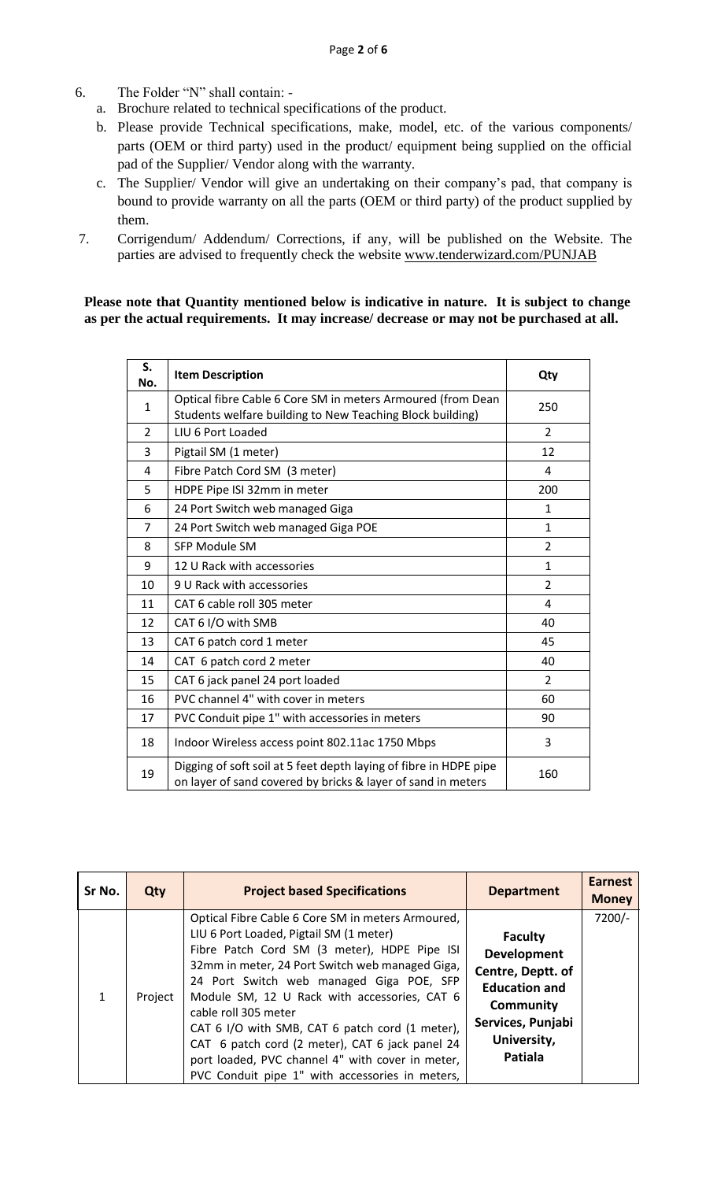- 6. The Folder "N" shall contain:
	- a. Brochure related to technical specifications of the product.
	- b. Please provide Technical specifications, make, model, etc. of the various components/ parts (OEM or third party) used in the product/ equipment being supplied on the official pad of the Supplier/ Vendor along with the warranty.
	- c. The Supplier/ Vendor will give an undertaking on their company's pad, that company is bound to provide warranty on all the parts (OEM or third party) of the product supplied by them.
- 7. Corrigendum/ Addendum/ Corrections, if any, will be published on the Website. The parties are advised to frequently check the website [www.tenderwizard.com/PUNJAB](http://www.tenderwizard.com/PUNJAB)

#### **Please note that Quantity mentioned below is indicative in nature. It is subject to change as per the actual requirements. It may increase/ decrease or may not be purchased at all.**

| S.<br>No.      | <b>Item Description</b>                                                                                                           | Qty            |
|----------------|-----------------------------------------------------------------------------------------------------------------------------------|----------------|
| $\mathbf{1}$   | Optical fibre Cable 6 Core SM in meters Armoured (from Dean<br>Students welfare building to New Teaching Block building)          | 250            |
| $\overline{2}$ | LIU 6 Port Loaded                                                                                                                 | $\overline{2}$ |
| 3              | Pigtail SM (1 meter)                                                                                                              | 12             |
| 4              | Fibre Patch Cord SM (3 meter)                                                                                                     | 4              |
| 5              | HDPE Pipe ISI 32mm in meter                                                                                                       | 200            |
| 6              | 24 Port Switch web managed Giga                                                                                                   | $\mathbf{1}$   |
| 7              | 24 Port Switch web managed Giga POE                                                                                               | $\mathbf{1}$   |
| 8              | <b>SFP Module SM</b>                                                                                                              | $\overline{2}$ |
| 9              | 12 U Rack with accessories                                                                                                        | $\mathbf{1}$   |
| 10             | 9 U Rack with accessories                                                                                                         | $\overline{2}$ |
| 11             | CAT 6 cable roll 305 meter                                                                                                        | 4              |
| 12             | CAT 6 I/O with SMB                                                                                                                | 40             |
| 13             | CAT 6 patch cord 1 meter                                                                                                          | 45             |
| 14             | CAT 6 patch cord 2 meter                                                                                                          | 40             |
| 15             | CAT 6 jack panel 24 port loaded                                                                                                   | $\overline{2}$ |
| 16             | PVC channel 4" with cover in meters                                                                                               | 60             |
| 17             | PVC Conduit pipe 1" with accessories in meters                                                                                    | 90             |
| 18             | Indoor Wireless access point 802.11ac 1750 Mbps                                                                                   | 3              |
| 19             | Digging of soft soil at 5 feet depth laying of fibre in HDPE pipe<br>on layer of sand covered by bricks & layer of sand in meters | 160            |

| Sr No. | Qty     | <b>Project based Specifications</b>                                                                                                                                                                                                                                                                                                                                                                                                                                                                                              | <b>Department</b>                                                                                                                                    | <b>Earnest</b><br><b>Money</b> |
|--------|---------|----------------------------------------------------------------------------------------------------------------------------------------------------------------------------------------------------------------------------------------------------------------------------------------------------------------------------------------------------------------------------------------------------------------------------------------------------------------------------------------------------------------------------------|------------------------------------------------------------------------------------------------------------------------------------------------------|--------------------------------|
| 1      | Project | Optical Fibre Cable 6 Core SM in meters Armoured,<br>LIU 6 Port Loaded, Pigtail SM (1 meter)<br>Fibre Patch Cord SM (3 meter), HDPE Pipe ISI<br>32mm in meter, 24 Port Switch web managed Giga,<br>24 Port Switch web managed Giga POE, SFP<br>Module SM, 12 U Rack with accessories, CAT 6<br>cable roll 305 meter<br>CAT 6 I/O with SMB, CAT 6 patch cord (1 meter),<br>CAT 6 patch cord (2 meter), CAT 6 jack panel 24<br>port loaded, PVC channel 4" with cover in meter,<br>PVC Conduit pipe 1" with accessories in meters, | <b>Faculty</b><br><b>Development</b><br>Centre, Deptt. of<br><b>Education and</b><br>Community<br>Services, Punjabi<br>University,<br><b>Patiala</b> | $7200/-$                       |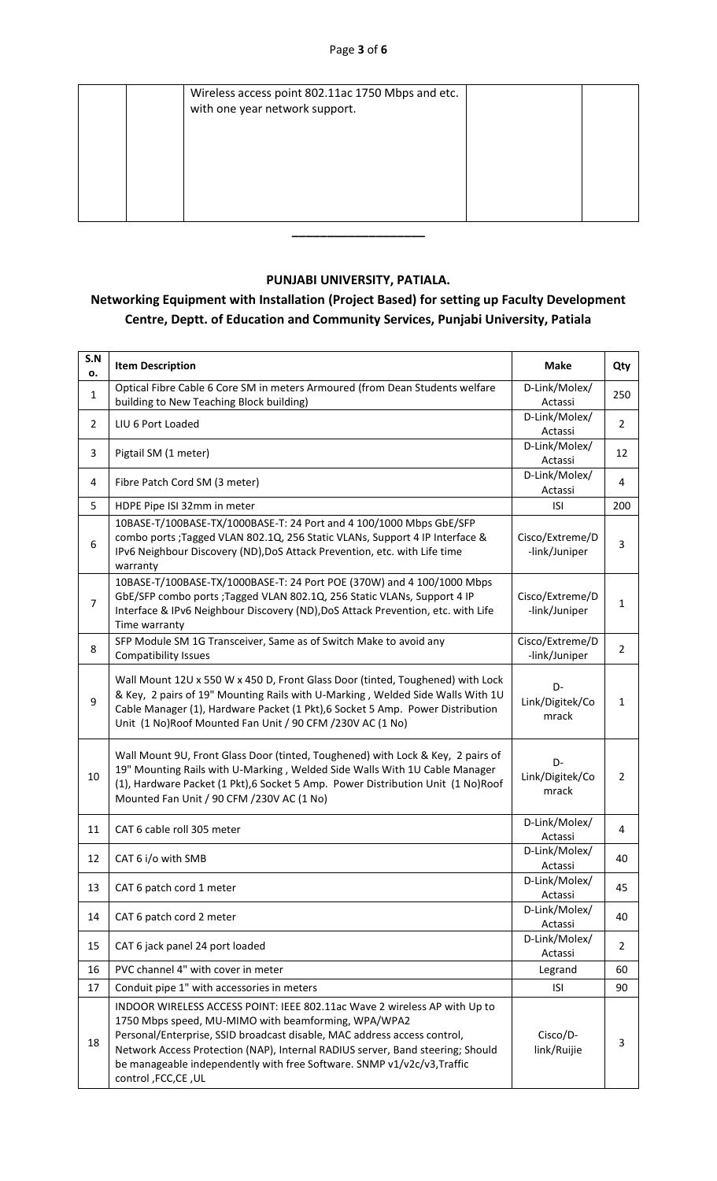| Wireless access point 802.11ac 1750 Mbps and etc.<br>with one year network support. |  |
|-------------------------------------------------------------------------------------|--|
|                                                                                     |  |
|                                                                                     |  |
|                                                                                     |  |
|                                                                                     |  |

#### **PUNJABI UNIVERSITY, PATIALA.**

### **Networking Equipment with Installation (Project Based) for setting up Faculty Development Centre, Deptt. of Education and Community Services, Punjabi University, Patiala**

| S.N<br>о.      | <b>Item Description</b>                                                                                                                                                                                                                                                                                                                                                                           | <b>Make</b>                      | Qty            |
|----------------|---------------------------------------------------------------------------------------------------------------------------------------------------------------------------------------------------------------------------------------------------------------------------------------------------------------------------------------------------------------------------------------------------|----------------------------------|----------------|
| $\mathbf{1}$   | Optical Fibre Cable 6 Core SM in meters Armoured (from Dean Students welfare<br>building to New Teaching Block building)                                                                                                                                                                                                                                                                          | D-Link/Molex/<br>Actassi         | 250            |
| $\overline{2}$ | LIU 6 Port Loaded                                                                                                                                                                                                                                                                                                                                                                                 | D-Link/Molex/<br>Actassi         | $\overline{2}$ |
| 3              | Pigtail SM (1 meter)                                                                                                                                                                                                                                                                                                                                                                              | D-Link/Molex/<br>Actassi         | 12             |
| 4              | Fibre Patch Cord SM (3 meter)                                                                                                                                                                                                                                                                                                                                                                     | D-Link/Molex/<br>Actassi         | 4              |
| 5              | HDPE Pipe ISI 32mm in meter                                                                                                                                                                                                                                                                                                                                                                       | <b>ISI</b>                       | 200            |
| 6              | 10BASE-T/100BASE-TX/1000BASE-T: 24 Port and 4 100/1000 Mbps GbE/SFP<br>combo ports ; Tagged VLAN 802.1Q, 256 Static VLANs, Support 4 IP Interface &<br>IPv6 Neighbour Discovery (ND), DoS Attack Prevention, etc. with Life time<br>warranty                                                                                                                                                      | Cisco/Extreme/D<br>-link/Juniper | 3              |
| $\overline{7}$ | 10BASE-T/100BASE-TX/1000BASE-T: 24 Port POE (370W) and 4 100/1000 Mbps<br>GbE/SFP combo ports ; Tagged VLAN 802.1Q, 256 Static VLANs, Support 4 IP<br>Interface & IPv6 Neighbour Discovery (ND), DoS Attack Prevention, etc. with Life<br>Time warranty                                                                                                                                           | Cisco/Extreme/D<br>-link/Juniper | $\mathbf{1}$   |
| 8              | SFP Module SM 1G Transceiver, Same as of Switch Make to avoid any<br><b>Compatibility Issues</b>                                                                                                                                                                                                                                                                                                  | Cisco/Extreme/D<br>-link/Juniper | $\overline{2}$ |
| 9              | Wall Mount 12U x 550 W x 450 D, Front Glass Door (tinted, Toughened) with Lock<br>& Key, 2 pairs of 19" Mounting Rails with U-Marking, Welded Side Walls With 1U<br>Cable Manager (1), Hardware Packet (1 Pkt), 6 Socket 5 Amp. Power Distribution<br>Unit (1 No)Roof Mounted Fan Unit / 90 CFM / 230V AC (1 No)                                                                                  | D-<br>Link/Digitek/Co<br>mrack   | $\mathbf{1}$   |
| 10             | Wall Mount 9U, Front Glass Door (tinted, Toughened) with Lock & Key, 2 pairs of<br>19" Mounting Rails with U-Marking, Welded Side Walls With 1U Cable Manager<br>(1), Hardware Packet (1 Pkt), 6 Socket 5 Amp. Power Distribution Unit (1 No)Roof<br>Mounted Fan Unit / 90 CFM / 230V AC (1 No)                                                                                                   | D-<br>Link/Digitek/Co<br>mrack   | 2              |
| 11             | CAT 6 cable roll 305 meter                                                                                                                                                                                                                                                                                                                                                                        | D-Link/Molex/<br>Actassi         | 4              |
| 12             | CAT 6 i/o with SMB                                                                                                                                                                                                                                                                                                                                                                                | D-Link/Molex/<br>Actassi         | 40             |
| 13             | CAT 6 patch cord 1 meter                                                                                                                                                                                                                                                                                                                                                                          | D-Link/Molex/<br>Actassi         | 45             |
| 14             | CAT 6 patch cord 2 meter                                                                                                                                                                                                                                                                                                                                                                          | D-Link/Molex/<br>Actassi         | 40             |
| 15             | CAT 6 jack panel 24 port loaded                                                                                                                                                                                                                                                                                                                                                                   | D-Link/Molex/<br>Actassi         | $\overline{2}$ |
| 16             | PVC channel 4" with cover in meter                                                                                                                                                                                                                                                                                                                                                                | Legrand                          | 60             |
| 17             | Conduit pipe 1" with accessories in meters                                                                                                                                                                                                                                                                                                                                                        | <b>ISI</b>                       | 90             |
| 18             | INDOOR WIRELESS ACCESS POINT: IEEE 802.11ac Wave 2 wireless AP with Up to<br>1750 Mbps speed, MU-MIMO with beamforming, WPA/WPA2<br>Personal/Enterprise, SSID broadcast disable, MAC address access control,<br>Network Access Protection (NAP), Internal RADIUS server, Band steering; Should<br>be manageable independently with free Software. SNMP v1/v2c/v3, Traffic<br>control, FCC, CE, UL | Cisco/D-<br>link/Ruijie          | 3              |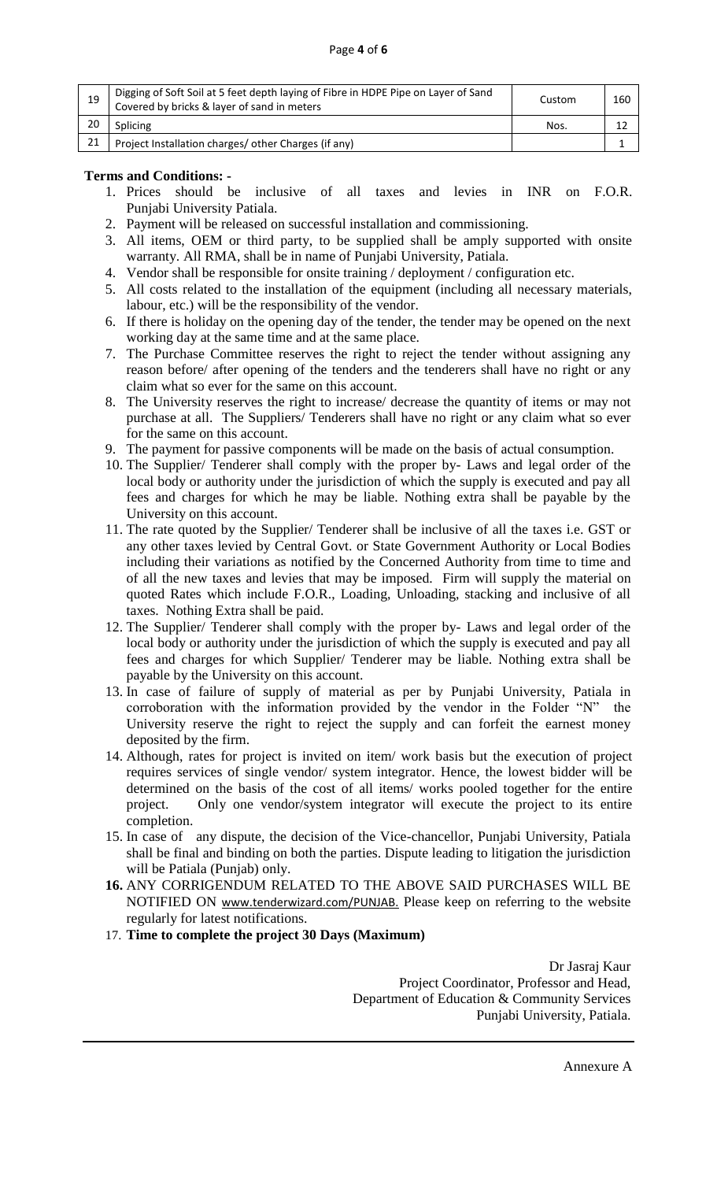| 19 | Digging of Soft Soil at 5 feet depth laying of Fibre in HDPE Pipe on Layer of Sand<br>Covered by bricks & layer of sand in meters | Custom     | 160 |
|----|-----------------------------------------------------------------------------------------------------------------------------------|------------|-----|
| 20 | Splicing                                                                                                                          | <b>Nos</b> |     |
| 21 | Project Installation charges/ other Charges (if any)                                                                              |            |     |

#### **Terms and Conditions: -**

- 1. Prices should be inclusive of all taxes and levies in INR on F.O.R. Punjabi University Patiala.
- 2. Payment will be released on successful installation and commissioning.
- 3. All items, OEM or third party, to be supplied shall be amply supported with onsite warranty. All RMA, shall be in name of Punjabi University, Patiala.
- 4. Vendor shall be responsible for onsite training / deployment / configuration etc.
- 5. All costs related to the installation of the equipment (including all necessary materials, labour, etc.) will be the responsibility of the vendor.
- 6. If there is holiday on the opening day of the tender, the tender may be opened on the next working day at the same time and at the same place.
- 7. The Purchase Committee reserves the right to reject the tender without assigning any reason before/ after opening of the tenders and the tenderers shall have no right or any claim what so ever for the same on this account.
- 8. The University reserves the right to increase/ decrease the quantity of items or may not purchase at all. The Suppliers/ Tenderers shall have no right or any claim what so ever for the same on this account.
- 9. The payment for passive components will be made on the basis of actual consumption.
- 10. The Supplier/ Tenderer shall comply with the proper by- Laws and legal order of the local body or authority under the jurisdiction of which the supply is executed and pay all fees and charges for which he may be liable. Nothing extra shall be payable by the University on this account.
- 11. The rate quoted by the Supplier/ Tenderer shall be inclusive of all the taxes i.e. GST or any other taxes levied by Central Govt. or State Government Authority or Local Bodies including their variations as notified by the Concerned Authority from time to time and of all the new taxes and levies that may be imposed. Firm will supply the material on quoted Rates which include F.O.R., Loading, Unloading, stacking and inclusive of all taxes. Nothing Extra shall be paid.
- 12. The Supplier/ Tenderer shall comply with the proper by- Laws and legal order of the local body or authority under the jurisdiction of which the supply is executed and pay all fees and charges for which Supplier/ Tenderer may be liable. Nothing extra shall be payable by the University on this account.
- 13. In case of failure of supply of material as per by Punjabi University, Patiala in corroboration with the information provided by the vendor in the Folder "N" the University reserve the right to reject the supply and can forfeit the earnest money deposited by the firm.
- 14. Although, rates for project is invited on item/ work basis but the execution of project requires services of single vendor/ system integrator. Hence, the lowest bidder will be determined on the basis of the cost of all items/ works pooled together for the entire project. Only one vendor/system integrator will execute the project to its entire completion.
- 15. In case of any dispute, the decision of the Vice-chancellor, Punjabi University, Patiala shall be final and binding on both the parties. Dispute leading to litigation the jurisdiction will be Patiala (Punjab) only.
- **16.** ANY CORRIGENDUM RELATED TO THE ABOVE SAID PURCHASES WILL BE NOTIFIED ON [www.tenderwizard.com/PUNJAB.](http://www.tenderwizard.com/PUNJAB) Please keep on referring to the website regularly for latest notifications.
- 17. **Time to complete the project 30 Days (Maximum)**

Dr Jasraj Kaur Project Coordinator, Professor and Head, Department of Education & Community Services Punjabi University, Patiala.

Annexure A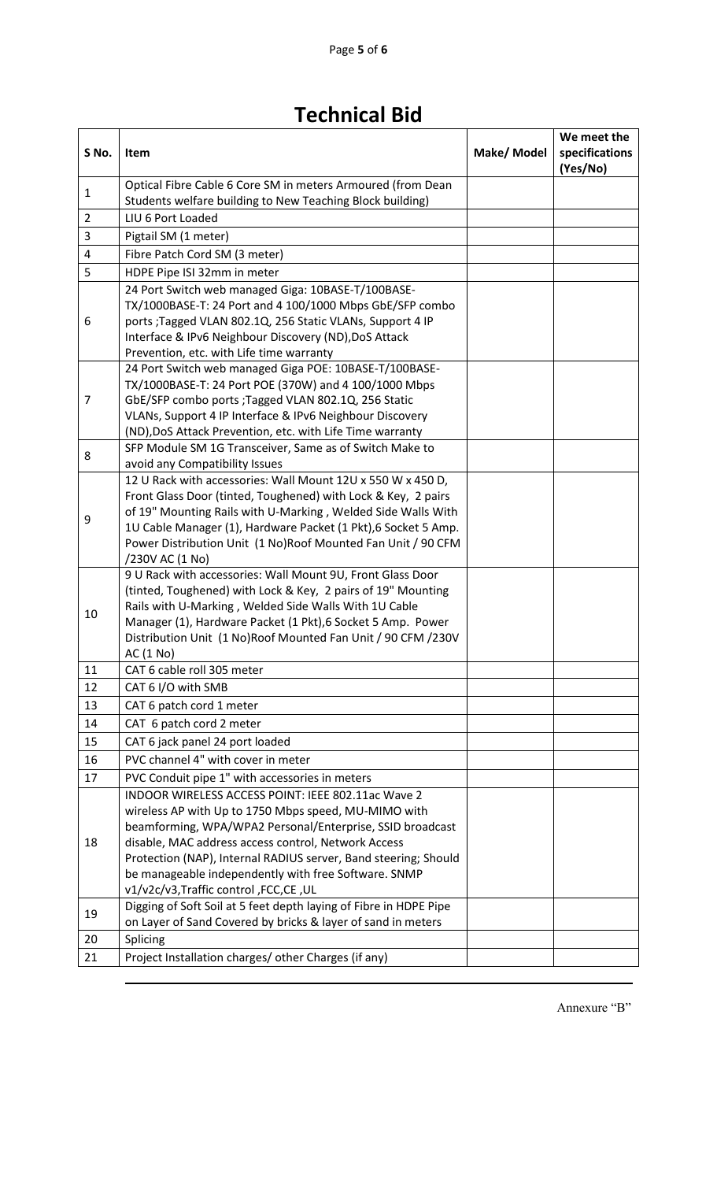## **Technical Bid**

| S No.          | Item                                                                                                                                                                                                                                                                                                                                                                                                 | Make/ Model | We meet the<br>specifications<br>(Yes/No) |
|----------------|------------------------------------------------------------------------------------------------------------------------------------------------------------------------------------------------------------------------------------------------------------------------------------------------------------------------------------------------------------------------------------------------------|-------------|-------------------------------------------|
| 1              | Optical Fibre Cable 6 Core SM in meters Armoured (from Dean<br>Students welfare building to New Teaching Block building)                                                                                                                                                                                                                                                                             |             |                                           |
| $\overline{2}$ | LIU 6 Port Loaded                                                                                                                                                                                                                                                                                                                                                                                    |             |                                           |
| 3              | Pigtail SM (1 meter)                                                                                                                                                                                                                                                                                                                                                                                 |             |                                           |
| $\overline{4}$ | Fibre Patch Cord SM (3 meter)                                                                                                                                                                                                                                                                                                                                                                        |             |                                           |
| 5              | HDPE Pipe ISI 32mm in meter                                                                                                                                                                                                                                                                                                                                                                          |             |                                           |
| 6              | 24 Port Switch web managed Giga: 10BASE-T/100BASE-<br>TX/1000BASE-T: 24 Port and 4 100/1000 Mbps GbE/SFP combo<br>ports ;Tagged VLAN 802.1Q, 256 Static VLANs, Support 4 IP<br>Interface & IPv6 Neighbour Discovery (ND), DoS Attack<br>Prevention, etc. with Life time warranty                                                                                                                     |             |                                           |
| 7              | 24 Port Switch web managed Giga POE: 10BASE-T/100BASE-<br>TX/1000BASE-T: 24 Port POE (370W) and 4 100/1000 Mbps<br>GbE/SFP combo ports ; Tagged VLAN 802.1Q, 256 Static<br>VLANs, Support 4 IP Interface & IPv6 Neighbour Discovery<br>(ND), DoS Attack Prevention, etc. with Life Time warranty                                                                                                     |             |                                           |
| 8              | SFP Module SM 1G Transceiver, Same as of Switch Make to<br>avoid any Compatibility Issues                                                                                                                                                                                                                                                                                                            |             |                                           |
| 9              | 12 U Rack with accessories: Wall Mount 12U x 550 W x 450 D,<br>Front Glass Door (tinted, Toughened) with Lock & Key, 2 pairs<br>of 19" Mounting Rails with U-Marking, Welded Side Walls With<br>1U Cable Manager (1), Hardware Packet (1 Pkt), 6 Socket 5 Amp.<br>Power Distribution Unit (1 No)Roof Mounted Fan Unit / 90 CFM<br>/230V AC (1 No)                                                    |             |                                           |
| 10             | 9 U Rack with accessories: Wall Mount 9U, Front Glass Door<br>(tinted, Toughened) with Lock & Key, 2 pairs of 19" Mounting<br>Rails with U-Marking, Welded Side Walls With 1U Cable<br>Manager (1), Hardware Packet (1 Pkt), 6 Socket 5 Amp. Power<br>Distribution Unit (1 No)Roof Mounted Fan Unit / 90 CFM / 230V<br>AC (1 No)                                                                     |             |                                           |
| 11             | CAT 6 cable roll 305 meter                                                                                                                                                                                                                                                                                                                                                                           |             |                                           |
| 12             | CAT 6 I/O with SMB                                                                                                                                                                                                                                                                                                                                                                                   |             |                                           |
| 13             | CAT 6 patch cord 1 meter                                                                                                                                                                                                                                                                                                                                                                             |             |                                           |
| 14             | CAT 6 patch cord 2 meter                                                                                                                                                                                                                                                                                                                                                                             |             |                                           |
| 15             | CAT 6 jack panel 24 port loaded                                                                                                                                                                                                                                                                                                                                                                      |             |                                           |
| 16             | PVC channel 4" with cover in meter                                                                                                                                                                                                                                                                                                                                                                   |             |                                           |
| 17             | PVC Conduit pipe 1" with accessories in meters                                                                                                                                                                                                                                                                                                                                                       |             |                                           |
| 18             | INDOOR WIRELESS ACCESS POINT: IEEE 802.11ac Wave 2<br>wireless AP with Up to 1750 Mbps speed, MU-MIMO with<br>beamforming, WPA/WPA2 Personal/Enterprise, SSID broadcast<br>disable, MAC address access control, Network Access<br>Protection (NAP), Internal RADIUS server, Band steering; Should<br>be manageable independently with free Software. SNMP<br>v1/v2c/v3, Traffic control, FCC, CE, UL |             |                                           |
| 19             | Digging of Soft Soil at 5 feet depth laying of Fibre in HDPE Pipe<br>on Layer of Sand Covered by bricks & layer of sand in meters                                                                                                                                                                                                                                                                    |             |                                           |
| 20             | Splicing                                                                                                                                                                                                                                                                                                                                                                                             |             |                                           |
| 21             | Project Installation charges/ other Charges (if any)                                                                                                                                                                                                                                                                                                                                                 |             |                                           |

Annexure "B"